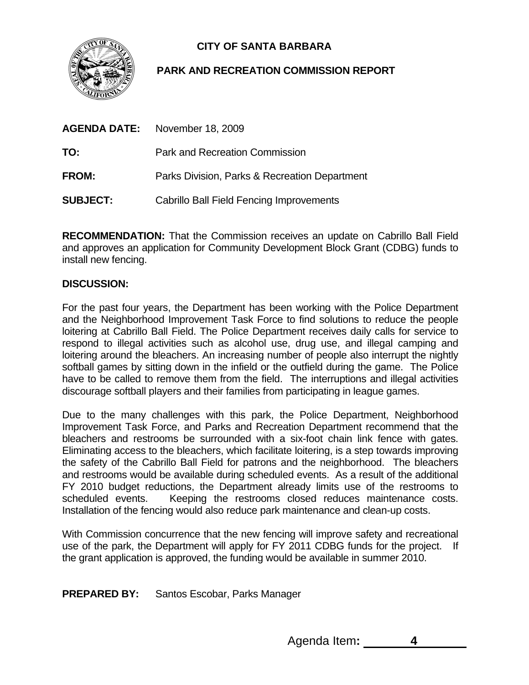

## **CITY OF SANTA BARBARA**

## **PARK AND RECREATION COMMISSION REPORT**

| <b>AGENDA DATE:</b> | November 18, 2009                               |
|---------------------|-------------------------------------------------|
| TO:                 | Park and Recreation Commission                  |
| FROM:               | Parks Division, Parks & Recreation Department   |
| <b>SUBJECT:</b>     | <b>Cabrillo Ball Field Fencing Improvements</b> |

**RECOMMENDATION:** That the Commission receives an update on Cabrillo Ball Field and approves an application for Community Development Block Grant (CDBG) funds to install new fencing.

## **DISCUSSION:**

For the past four years, the Department has been working with the Police Department and the Neighborhood Improvement Task Force to find solutions to reduce the people loitering at Cabrillo Ball Field. The Police Department receives daily calls for service to respond to illegal activities such as alcohol use, drug use, and illegal camping and loitering around the bleachers. An increasing number of people also interrupt the nightly softball games by sitting down in the infield or the outfield during the game. The Police have to be called to remove them from the field. The interruptions and illegal activities discourage softball players and their families from participating in league games.

Due to the many challenges with this park, the Police Department, Neighborhood Improvement Task Force, and Parks and Recreation Department recommend that the bleachers and restrooms be surrounded with a six-foot chain link fence with gates. Eliminating access to the bleachers, which facilitate loitering, is a step towards improving the safety of the Cabrillo Ball Field for patrons and the neighborhood. The bleachers and restrooms would be available during scheduled events. As a result of the additional FY 2010 budget reductions, the Department already limits use of the restrooms to scheduled events. Keeping the restrooms closed reduces maintenance costs. Installation of the fencing would also reduce park maintenance and clean-up costs.

With Commission concurrence that the new fencing will improve safety and recreational use of the park, the Department will apply for FY 2011 CDBG funds for the project. If the grant application is approved, the funding would be available in summer 2010.

**PREPARED BY:** Santos Escobar, Parks Manager

Agenda Item**: 4**